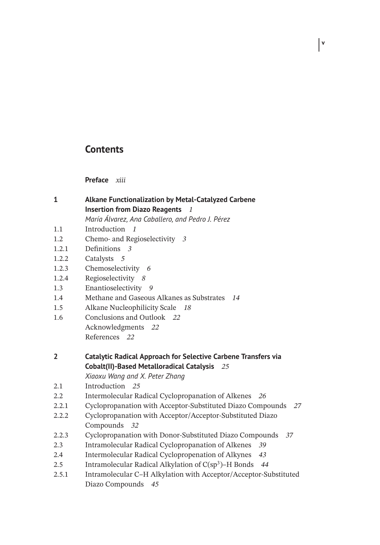# **Contents**

**Preface** *xiii*

- **1 Alkane Functionalization by Metal-Catalyzed Carbene Insertion from Diazo Reagents** *1 María Álvarez, Ana Caballero, and Pedro J. Pérez* 1.1 Introduction *1* 1.2 Chemo- and Regioselectivity *3* 1.2.1 Definitions *3*
- 1.2.2 Catalysts *5*
- 1.2.3 Chemoselectivity *6*
- 1.2.4 Regioselectivity *8*
- 1.3 Enantioselectivity *9*
- 1.4 Methane and Gaseous Alkanes as Substrates *14*
- 1.5 Alkane Nucleophilicity Scale *18*
- 1.6 Conclusions and Outlook *22* Acknowledgments *22* References *22*
- **2 Catalytic Radical Approach for Selective Carbene Transfers via Cobalt(II)-Based Metalloradical Catalysis** *25*

*Xiaoxu Wang and X. Peter Zhang*

- 2.1 Introduction *25*
- 2.2 Intermolecular Radical Cyclopropanation of Alkenes *26*
- 2.2.1 Cyclopropanation with Acceptor-Substituted Diazo Compounds *27*
- 2.2.2 Cyclopropanation with Acceptor/Acceptor-Substituted Diazo Compounds *32*
- 2.2.3 Cyclopropanation with Donor-Substituted Diazo Compounds *37*
- 2.3 Intramolecular Radical Cyclopropanation of Alkenes *39*
- 2.4 Intermolecular Radical Cyclopropenation of Alkynes *43*
- 2.5 Intramolecular Radical Alkylation of C(sp3)–H Bonds *44*
- 2.5.1 Intramolecular C–H Alkylation with Acceptor/Acceptor-Substituted Diazo Compounds *45*

**v**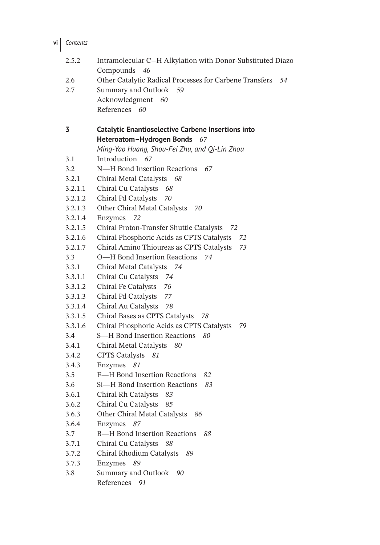**vi** *Contents*

| 2.5.2   | Intramolecular C-H Alkylation with Donor-Substituted Diazo<br>Compounds<br>46 |  |  |
|---------|-------------------------------------------------------------------------------|--|--|
| 2.6     | Other Catalytic Radical Processes for Carbene Transfers 54                    |  |  |
| 2.7     | Summary and Outlook<br>59                                                     |  |  |
|         | Acknowledgment<br>60                                                          |  |  |
|         | References 60                                                                 |  |  |
|         |                                                                               |  |  |
| 3       | <b>Catalytic Enantioselective Carbene Insertions into</b>                     |  |  |
|         | Heteroatom-Hydrogen Bonds 67                                                  |  |  |
|         | Ming-Yao Huang, Shou-Fei Zhu, and Qi-Lin Zhou                                 |  |  |
| 3.1     | Introduction 67                                                               |  |  |
| 3.2     | N—H Bond Insertion Reactions<br>67                                            |  |  |
| 3.2.1   | Chiral Metal Catalysts 68                                                     |  |  |
| 3.2.1.1 | Chiral Cu Catalysts<br>- 68                                                   |  |  |
| 3.2.1.2 | Chiral Pd Catalysts<br>70                                                     |  |  |
| 3.2.1.3 | Other Chiral Metal Catalysts<br>70                                            |  |  |
| 3.2.1.4 | Enzymes<br>72                                                                 |  |  |
| 3.2.1.5 | Chiral Proton-Transfer Shuttle Catalysts<br>-72                               |  |  |
| 3.2.1.6 | Chiral Phosphoric Acids as CPTS Catalysts<br>72                               |  |  |
| 3.2.1.7 | Chiral Amino Thioureas as CPTS Catalysts<br>73                                |  |  |
| 3.3     | O-H Bond Insertion Reactions<br>74                                            |  |  |
| 3.3.1   | Chiral Metal Catalysts 74                                                     |  |  |
| 3.3.1.1 | Chiral Cu Catalysts 74                                                        |  |  |
| 3.3.1.2 | Chiral Fe Catalysts 76                                                        |  |  |
| 3.3.1.3 | Chiral Pd Catalysts<br>77                                                     |  |  |
| 3.3.1.4 | Chiral Au Catalysts 78                                                        |  |  |
| 3.3.1.5 | Chiral Bases as CPTS Catalysts 78                                             |  |  |
| 3.3.1.6 | Chiral Phosphoric Acids as CPTS Catalysts<br>79                               |  |  |
| 3.4     | S-H Bond Insertion Reactions<br>80                                            |  |  |
| 3.4.1   | Chiral Metal Catalysts<br>80                                                  |  |  |
| 3.4.2   | <b>CPTS Catalysts</b><br>81                                                   |  |  |
| 3.4.3   | Enzymes<br>81                                                                 |  |  |
| 3.5     | F-H Bond Insertion Reactions<br>82                                            |  |  |
| 3.6     | Si-H Bond Insertion Reactions<br>83                                           |  |  |
| 3.6.1   | Chiral Rh Catalysts<br>83                                                     |  |  |
| 3.6.2   | Chiral Cu Catalysts<br>85                                                     |  |  |
| 3.6.3   | Other Chiral Metal Catalysts<br>86                                            |  |  |
| 3.6.4   | Enzymes<br>87                                                                 |  |  |
| 3.7     | <b>B-H Bond Insertion Reactions</b><br>88                                     |  |  |
| 3.7.1   | Chiral Cu Catalysts 88                                                        |  |  |
| 3.7.2   | Chiral Rhodium Catalysts<br>89                                                |  |  |
| 3.7.3   | Enzymes<br>89                                                                 |  |  |
| 3.8     | Summary and Outlook<br>90                                                     |  |  |
|         | References<br>91                                                              |  |  |
|         |                                                                               |  |  |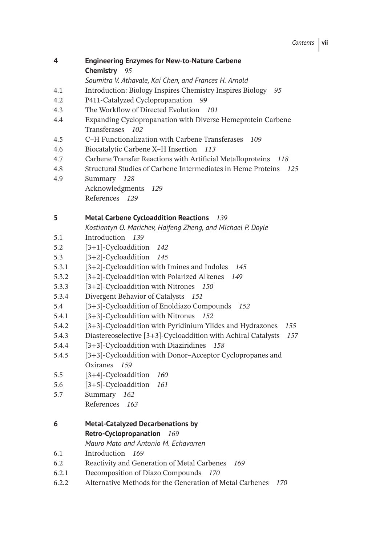- **4 Engineering Enzymes for New-to-Nature Carbene Chemistry** *95*
	- *Soumitra V. Athavale, Kai Chen, and Frances H. Arnold*
- 4.1 Introduction: Biology Inspires Chemistry Inspires Biology *95*
- 4.2 P411-Catalyzed Cyclopropanation *99*
- 4.3 The Workflow of Directed Evolution *101*
- 4.4 Expanding Cyclopropanation with Diverse Hemeprotein Carbene Transferases *102*
- 4.5 C–H Functionalization with Carbene Transferases *109*
- 4.6 Biocatalytic Carbene X–H Insertion *113*
- 4.7 Carbene Transfer Reactions with Artificial Metalloproteins *118*
- 4.8 Structural Studies of Carbene Intermediates in Heme Proteins *125*
- 4.9 Summary *128*
	- Acknowledgments *129* References *129*

## **5 Metal Carbene Cycloaddition Reactions** *139*

*Kostiantyn O. Marichev, Haifeng Zheng, and Michael P. Doyle*

- 5.1 Introduction *139*
- 5.2 [3+1]-Cycloaddition *142*
- 5.3 [3+2]-Cycloaddition *145*
- 5.3.1 [3+2]-Cycloaddition with Imines and Indoles *145*
- 5.3.2 [3+2]-Cycloaddition with Polarized Alkenes *149*
- 5.3.3 [3+2]-Cycloaddition with Nitrones *150*
- 5.3.4 Divergent Behavior of Catalysts *151*
- 5.4 [3+3]-Cycloaddition of Enoldiazo Compounds *152*
- 5.4.1 [3+3]-Cycloaddition with Nitrones *152*
- 5.4.2 [3+3]-Cycloaddition with Pyridinium Ylides and Hydrazones *155*
- 5.4.3 Diastereoselective [3+3]-Cycloaddition with Achiral Catalysts *157*
- 5.4.4 [3+3]-Cycloaddition with Diaziridines *158*
- 5.4.5 [3+3]-Cycloaddition with Donor–Acceptor Cyclopropanes and Oxiranes *159*
- 5.5 [3+4]-Cycloaddition *160*
- 5.6 [3+5]-Cycloaddition *161*
- 5.7 Summary *162*
	- References *163*
- **6 Metal-Catalyzed Decarbenations by Retro-Cyclopropanation** *169*
	- *Mauro Mato and Antonio M. Echavarren*
- 6.1 Introduction *169*
- 6.2 Reactivity and Generation of Metal Carbenes *169*
- 6.2.1 Decomposition of Diazo Compounds *170*
- 6.2.2 Alternative Methods for the Generation of Metal Carbenes *170*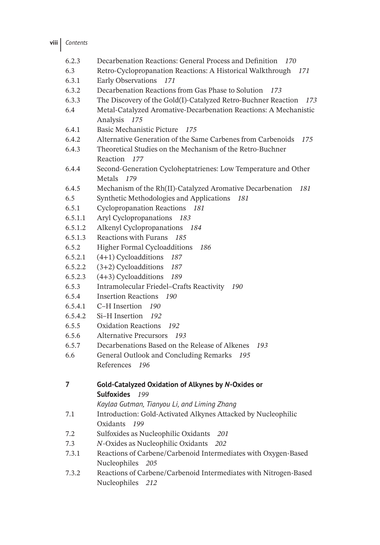| 6.2.3   | Decarbenation Reactions: General Process and Definition<br>- 170               |  |  |  |
|---------|--------------------------------------------------------------------------------|--|--|--|
| 6.3     | Retro-Cyclopropanation Reactions: A Historical Walkthrough<br>171              |  |  |  |
| 6.3.1   | Early Observations 171                                                         |  |  |  |
| 6.3.2   | Decarbenation Reactions from Gas Phase to Solution<br>173                      |  |  |  |
| 6.3.3   | The Discovery of the Gold(I)-Catalyzed Retro-Buchner Reaction<br>173           |  |  |  |
| 6.4     | Metal-Catalyzed Aromative-Decarbenation Reactions: A Mechanistic               |  |  |  |
|         | Analysis<br>175                                                                |  |  |  |
| 6.4.1   | Basic Mechanistic Picture<br>175                                               |  |  |  |
| 6.4.2   | Alternative Generation of the Same Carbenes from Carbenoids<br>175             |  |  |  |
| 6.4.3   | Theoretical Studies on the Mechanism of the Retro-Buchner<br>Reaction<br>- 177 |  |  |  |
| 6.4.4   | Second-Generation Cycloheptatrienes: Low Temperature and Other                 |  |  |  |
|         | Metals<br>179                                                                  |  |  |  |
| 6.4.5   | Mechanism of the Rh(II)-Catalyzed Aromative Decarbenation<br>181               |  |  |  |
| 6.5     | Synthetic Methodologies and Applications<br>181                                |  |  |  |
| 6.5.1   | <b>Cyclopropanation Reactions</b><br>181                                       |  |  |  |
| 6.5.1.1 | Aryl Cyclopropanations<br>183                                                  |  |  |  |
| 6.5.1.2 | Alkenyl Cyclopropanations<br>184                                               |  |  |  |
| 6.5.1.3 | Reactions with Furans<br>185                                                   |  |  |  |
| 6.5.2   | <b>Higher Formal Cycloadditions</b><br>186                                     |  |  |  |
| 6.5.2.1 | $(4+1)$ Cycloadditions 187                                                     |  |  |  |
| 6.5.2.2 | $(3+2)$ Cycloadditions<br>187                                                  |  |  |  |
| 6.5.2.3 | $(4+3)$ Cycloadditions<br>189                                                  |  |  |  |
| 6.5.3   | Intramolecular Friedel-Crafts Reactivity<br>190                                |  |  |  |
| 6.5.4   | <b>Insertion Reactions</b><br>190                                              |  |  |  |
| 6.5.4.1 | C-H Insertion<br>190                                                           |  |  |  |
| 6.5.4.2 | Si-H Insertion<br>192                                                          |  |  |  |
| 6.5.5   | <b>Oxidation Reactions</b><br>192                                              |  |  |  |
| 6.5.6   | <b>Alternative Precursors</b><br>193                                           |  |  |  |
| 6.5.7   | Decarbenations Based on the Release of Alkenes<br>193                          |  |  |  |
| 6.6     | General Outlook and Concluding Remarks<br>195                                  |  |  |  |
|         | References 196                                                                 |  |  |  |
| 7       | Gold-Catalyzed Oxidation of Alkynes by N-Oxides or                             |  |  |  |
|         | <b>Sulfoxides</b><br>199                                                       |  |  |  |
|         | Kaylaa Gutman, Tianyou Li, and Liming Zhang                                    |  |  |  |
| 7.1     | Introduction: Gold-Activated Alkynes Attacked by Nucleophilic                  |  |  |  |
|         | Oxidants<br>199                                                                |  |  |  |
| 7.2     | Sulfoxides as Nucleophilic Oxidants<br>201                                     |  |  |  |
| 7.3     | N-Oxides as Nucleophilic Oxidants<br>202                                       |  |  |  |
| 7.3.1   | Reactions of Carbene/Carbenoid Intermediates with Oxygen-Based                 |  |  |  |
|         | Nucleophiles 205                                                               |  |  |  |
| 7.3.2   | Reactions of Carbene/Carbenoid Intermediates with Nitrogen-Based               |  |  |  |
|         | Nucleophiles 212                                                               |  |  |  |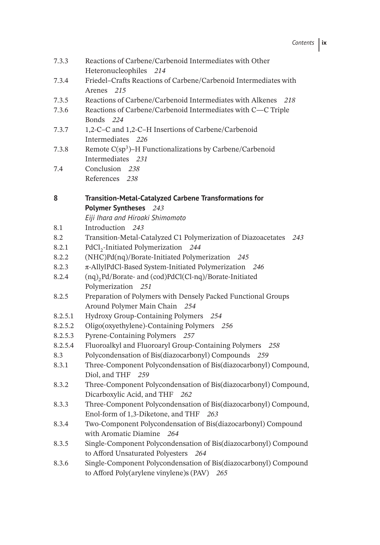| 7.3.3   | Reactions of Carbene/Carbenoid Intermediates with Other<br>Heteronucleophiles 214                                  |  |  |
|---------|--------------------------------------------------------------------------------------------------------------------|--|--|
| 7.3.4   | Friedel-Crafts Reactions of Carbene/Carbenoid Intermediates with<br>Arenes 215                                     |  |  |
| 7.3.5   | Reactions of Carbene/Carbenoid Intermediates with Alkenes<br>218                                                   |  |  |
| 7.3.6   | Reactions of Carbene/Carbenoid Intermediates with C-C Triple<br>Bonds 224                                          |  |  |
| 7.3.7   | 1,2-C-C and 1,2-C-H Insertions of Carbene/Carbenoid<br>Intermediates 226                                           |  |  |
| 7.3.8   | Remote $C(sp^3)$ –H Functionalizations by Carbene/Carbenoid<br>Intermediates 231                                   |  |  |
| 7.4     | Conclusion 238                                                                                                     |  |  |
|         | References 238                                                                                                     |  |  |
| 8       | <b>Transition-Metal-Catalyzed Carbene Transformations for</b>                                                      |  |  |
|         | Polymer Syntheses 243                                                                                              |  |  |
|         | Eiji Ihara and Hiroaki Shimomoto                                                                                   |  |  |
| 8.1     | Introduction 243                                                                                                   |  |  |
| 8.2     | Transition-Metal-Catalyzed C1 Polymerization of Diazoacetates<br>243                                               |  |  |
| 8.2.1   | PdCl <sub>2</sub> -Initiated Polymerization 244                                                                    |  |  |
| 8.2.2   | (NHC)Pd(nq)/Borate-Initiated Polymerization 245                                                                    |  |  |
| 8.2.3   | π-AllylPdCl-Based System-Initiated Polymerization 246                                                              |  |  |
| 8.2.4   | (nq) <sub>2</sub> Pd/Borate- and (cod)PdCl(Cl-nq)/Borate-Initiated<br>Polymerization 251                           |  |  |
| 8.2.5   | Preparation of Polymers with Densely Packed Functional Groups<br>Around Polymer Main Chain 254                     |  |  |
| 8.2.5.1 | Hydroxy Group-Containing Polymers 254                                                                              |  |  |
| 8.2.5.2 | Oligo(oxyethylene)-Containing Polymers 256                                                                         |  |  |
| 8.2.5.3 | Pyrene-Containing Polymers 257                                                                                     |  |  |
| 8.2.5.4 | Fluoroalkyl and Fluoroaryl Group-Containing Polymers 258                                                           |  |  |
| 8.3     | Polycondensation of Bis(diazocarbonyl) Compounds 259                                                               |  |  |
| 8.3.1   | Three-Component Polycondensation of Bis(diazocarbonyl) Compound,<br>Diol, and THF<br>259                           |  |  |
| 8.3.2   | Three-Component Polycondensation of Bis(diazocarbonyl) Compound,<br>Dicarboxylic Acid, and THF<br>262              |  |  |
| 8.3.3   | Three-Component Polycondensation of Bis(diazocarbonyl) Compound,                                                   |  |  |
|         | Enol-form of 1,3-Diketone, and THF 263                                                                             |  |  |
| 8.3.4   | Two-Component Polycondensation of Bis(diazocarbonyl) Compound                                                      |  |  |
|         | with Aromatic Diamine 264                                                                                          |  |  |
| 8.3.5   | Single-Component Polycondensation of Bis(diazocarbonyl) Compound                                                   |  |  |
|         | to Afford Unsaturated Polyesters 264                                                                               |  |  |
| 8.3.6   | Single-Component Polycondensation of Bis(diazocarbonyl) Compound<br>to Afford Poly(arylene vinylene)s (PAV)<br>265 |  |  |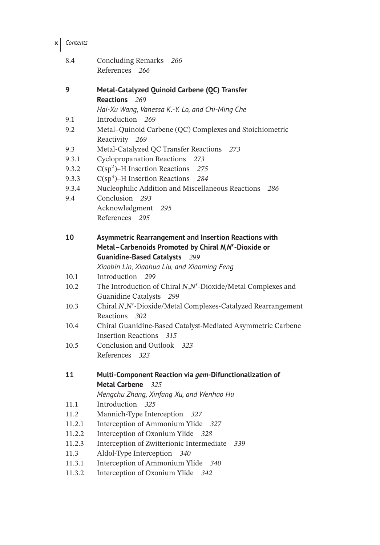### **x** *Contents*

- 8.4 Concluding Remarks *266* References *266*
- **9 Metal-Catalyzed Quinoid Carbene (QC) Transfer Reactions** *269*
	- *Hai-Xu Wang, Vanessa K.-Y. Lo, and Chi-Ming Che*
- 9.1 Introduction *269*
- 9.2 Metal–Quinoid Carbene (QC) Complexes and Stoichiometric Reactivity *269*
- 9.3 Metal-Catalyzed QC Transfer Reactions *273*
- 9.3.1 Cyclopropanation Reactions *273*
- 9.3.2 C(sp2)–H Insertion Reactions *275*
- 9.3.3 C(sp3)–H Insertion Reactions *284*
- 9.3.4 Nucleophilic Addition and Miscellaneous Reactions *286*
- 9.4 Conclusion *293* Acknowledgment *295* References *295*

| 10 |                                                     | Asymmetric Rearrangement and Insertion Reactions with |
|----|-----------------------------------------------------|-------------------------------------------------------|
|    | Metal-Carbenoids Promoted by Chiral N,N'-Dioxide or |                                                       |
|    | <b>Guanidine-Based Catalysts</b>                    | 299                                                   |

*Xiaobin Lin, Xiaohua Liu, and Xiaoming Feng*

```
10.1 Introduction 299
```
- 10.2 The Introduction of Chiral *N*,*N*′ -Dioxide/Metal Complexes and Guanidine Catalysts *299*
- 10.3 Chiral *N*,*N*′ -Dioxide/Metal Complexes-Catalyzed Rearrangement Reactions *302*
- 10.4 Chiral Guanidine-Based Catalyst-Mediated Asymmetric Carbene Insertion Reactions *315*
- 10.5 Conclusion and Outlook *323* References *323*
- **11 Multi-Component Reaction via** *gem***-Difunctionalization of Metal Carbene** *325*

*Mengchu Zhang, Xinfang Xu, and Wenhao Hu*

- 11.1 Introduction *325*
- 11.2 Mannich-Type Interception *327*
- 11.2.1 Interception of Ammonium Ylide *327*
- 11.2.2 Interception of Oxonium Ylide *328*
- 11.2.3 Interception of Zwitterionic Intermediate *339*
- 11.3 Aldol-Type Interception *340*
- 11.3.1 Interception of Ammonium Ylide *340*
- 11.3.2 Interception of Oxonium Ylide *342*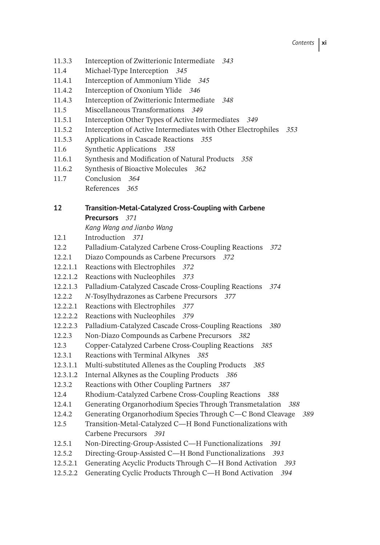- 11.3.3 Interception of Zwitterionic Intermediate *343*
- 11.4 Michael-Type Interception *345*
- 11.4.1 Interception of Ammonium Ylide *345*
- 11.4.2 Interception of Oxonium Ylide *346*
- 11.4.3 Interception of Zwitterionic Intermediate *348*
- 11.5 Miscellaneous Transformations *349*
- 11.5.1 Interception Other Types of Active Intermediates *349*
- 11.5.2 Interception of Active Intermediates with Other Electrophiles *353*
- 11.5.3 Applications in Cascade Reactions *355*
- 11.6 Synthetic Applications *358*
- 11.6.1 Synthesis and Modification of Natural Products *358*
- 11.6.2 Synthesis of Bioactive Molecules *362*
- 11.7 Conclusion *364*
	- References *365*

# **12 Transition-Metal-Catalyzed Cross-Coupling with Carbene Precursors** *371*

*Kang Wang and Jianbo Wang*

- 12.1 Introduction *371*
- 12.2 Palladium-Catalyzed Carbene Cross-Coupling Reactions *372*
- 12.2.1 Diazo Compounds as Carbene Precursors *372*
- 12.2.1.1 Reactions with Electrophiles *372*
- 12.2.1.2 Reactions with Nucleophiles *373*
- 12.2.1.3 Palladium-Catalyzed Cascade Cross-Coupling Reactions *374*
- 12.2.2 *N*-Tosylhydrazones as Carbene Precursors *377*
- 12.2.2.1 Reactions with Electrophiles *377*
- 12.2.2.2 Reactions with Nucleophiles *379*
- 12.2.2.3 Palladium-Catalyzed Cascade Cross-Coupling Reactions *380*
- 12.2.3 Non-Diazo Compounds as Carbene Precursors *382*
- 12.3 Copper-Catalyzed Carbene Cross-Coupling Reactions *385*
- 12.3.1 Reactions with Terminal Alkynes *385*
- 12.3.1.1 Multi-substituted Allenes as the Coupling Products *385*
- 12.3.1.2 Internal Alkynes as the Coupling Products *386*
- 12.3.2 Reactions with Other Coupling Partners *387*
- 12.4 Rhodium-Catalyzed Carbene Cross-Coupling Reactions *388*
- 12.4.1 Generating Organorhodium Species Through Transmetalation *388*
- 12.4.2 Generating Organorhodium Species Through C—C Bond Cleavage *389*
- 12.5 Transition-Metal-Catalyzed C—H Bond Functionalizations with Carbene Precursors *391*
- 12.5.1 Non-Directing-Group-Assisted C—H Functionalizations *391*
- 12.5.2 Directing-Group-Assisted C—H Bond Functionalizations *393*
- 12.5.2.1 Generating Acyclic Products Through C—H Bond Activation *393*
- 12.5.2.2 Generating Cyclic Products Through C—H Bond Activation *394*